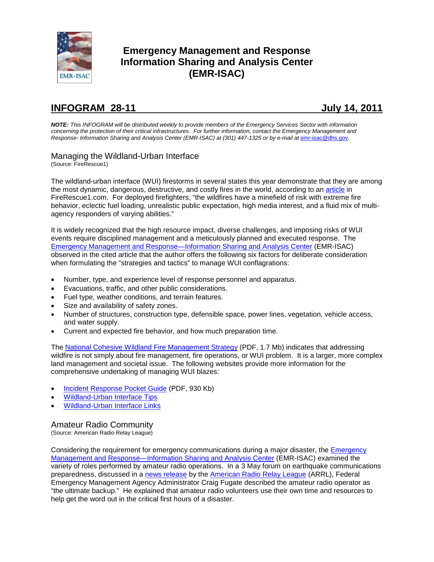

# **Emergency Management and Response Information Sharing and Analysis Center (EMR-ISAC)**

# **INFOGRAM 28-11 July 14, 2011**

*NOTE: This INFOGRAM will be distributed weekly to provide members of the Emergency Services Sector with information concerning the protection of their critical infrastructures. For further information, contact the Emergency Management and Response- Information Sharing and Analysis Center (EMR-ISAC) at (301) 447-1325 or by e-mail at* [emr-isac@dhs.gov](mailto:emr-isac@dhs.gov)*.*

# Managing the Wildland-Urban Interface

(Source: FireRescue1)

The wildland-urban interface (WUI) firestorms in several states this year demonstrate that they are among the most dynamic, dangerous, destructive, and costly fires in the world, according to an [article](http://www.firerescue1.com/urban-interface/articles/1068752-Wildland-urban-interface-fires-Managing-the-minefield-of-risk) in FireRescue1.com. For deployed firefighters, "the wildfires have a minefield of risk with extreme fire behavior, eclectic fuel loading, unrealistic public expectation, high media interest, and a fluid mix of multiagency responders of varying abilities."

It is widely recognized that the high resource impact, diverse challenges, and imposing risks of WUI events require disciplined management and a meticulously planned and executed response. The [Emergency Management and Response—Information Sharing and Analysis Center](http://www.usfa.dhs.gov/fireservice/subjects/emr-isac/index.shtm) (EMR-ISAC) observed in the cited article that the author offers the following six factors for deliberate consideration when formulating the "strategies and tactics" to manage WUI conflagrations:

- Number, type, and experience level of response personnel and apparatus.
- Evacuations, traffic, and other public considerations.
- Fuel type, weather conditions, and terrain features.
- Size and availability of safety zones.
- Number of structures, construction type, defensible space, power lines, vegetation, vehicle access, and water supply.
- Current and expected fire behavior, and how much preparation time.

The [National Cohesive Wildland Fire Management Strategy](http://www.forestsandrangelands.gov/strategy/documents/reports/1_CohesiveStrategy03172011.pdf) (PDF, 1.7 Mb) indicates that addressing wildfire is not simply about fire management, fire operations, or WUI problem. It is a larger, more complex land management and societal issue. The following websites provide more information for the comprehensive undertaking of managing WUI blazes:

- [Incident Response Pocket Guide](http://www.nwcg.gov/pms/pubs/nfes1077/nfes1077.pdf) (PDF, 930 Kb)
- [Wildland-Urban Interface Tips](http://www.firerescue1.com/urban-interface/tips)
- [Wildland-Urban Interface Links](http://www.firerescue1.com/urban-interface/links)

# Amateur Radio Community

(Source: American Radio Relay League)

Considering the requirement for emergency communications during a major disaster, the [Emergency](http://www.usfa.dhs.gov/fireservice/subjects/emr-isac/index.shtm)  [Management and Response—Information Sharing and Analysis Center](http://www.usfa.dhs.gov/fireservice/subjects/emr-isac/index.shtm) (EMR-ISAC) examined the variety of roles performed by amateur radio operations. In a 3 May forum on earthquake communications preparedness, discussed in a [news release](http://www.arrl.org/news/view/fema-administrator-calls-amateur-radio-the-last-line-of-defense) by the [American Radio Relay League](http://www.arrl.org/) (ARRL), Federal Emergency Management Agency Administrator Craig Fugate described the amateur radio operator as "the ultimate backup." He explained that amateur radio volunteers use their own time and resources to help get the word out in the critical first hours of a disaster.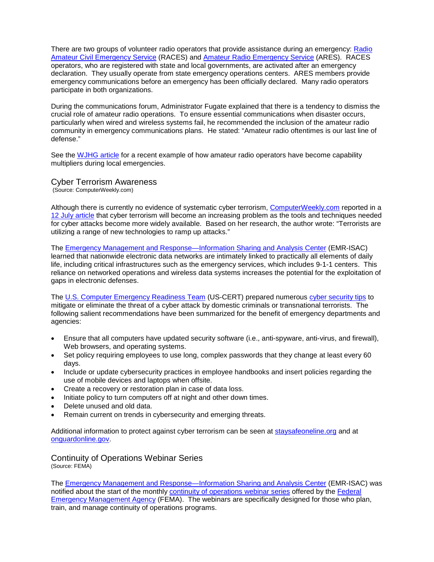There are two groups of volunteer radio operators that provide assistance during an emergency: [Radio](http://www.usraces.org/)  [Amateur Civil Emergency Service](http://www.usraces.org/) (RACES) and [Amateur Radio Emergency Service](http://ares.org/) (ARES). RACES operators, who are registered with state and local governments, are activated after an emergency declaration. They usually operate from state emergency operations centers. ARES members provide emergency communications before an emergency has been officially declared. Many radio operators participate in both organizations.

During the communications forum, Administrator Fugate explained that there is a tendency to dismiss the crucial role of amateur radio operations. To ensure essential communications when disaster occurs, particularly when wired and wireless systems fail, he recommended the inclusion of the amateur radio community in emergency communications plans. He stated: "Amateur radio oftentimes is our last line of defense."

See the [WJHG article](http://www.wjhg.com/home/misc/Amateur__124576004.html) for a recent example of how amateur radio operators have become capability multipliers during local emergencies.

## Cyber Terrorism Awareness

(Source: ComputerWeekly.com)

Although there is currently no evidence of systematic cyber terrorism, [ComputerWeekly.com](http://www.computerweekly.com/Home/) reported in a [12 July article](http://www.computerweekly.com/Articles/2011/07/12/247249/Cyber-terrorism-set-to-increase-after-al-Qaeda-calls-for-more-cyber-attacks-says.htm) that cyber terrorism will become an increasing problem as the tools and techniques needed for cyber attacks become more widely available. Based on her research, the author wrote: "Terrorists are utilizing a range of new technologies to ramp up attacks."

The **[Emergency Management and Response—Information Sharing and Analysis Center](http://www.usfa.dhs.gov/fireservice/subjects/emr-isac/index.shtm) (EMR-ISAC)** learned that nationwide electronic data networks are intimately linked to practically all elements of daily life, including critical infrastructures such as the emergency services, which includes 9-1-1 centers. This reliance on networked operations and wireless data systems increases the potential for the exploitation of gaps in electronic defenses.

The [U.S. Computer Emergency Readiness Team](http://www.us-cert.gov/) (US-CERT) prepared numerous [cyber security tips](http://www.us-cert.gov/cas/tips/) to mitigate or eliminate the threat of a cyber attack by domestic criminals or transnational terrorists. The following salient recommendations have been summarized for the benefit of emergency departments and agencies:

- Ensure that all computers have updated security software (i.e., anti-spyware, anti-virus, and firewall), Web browsers, and operating systems.
- Set policy requiring employees to use long, complex passwords that they change at least every 60 days.
- Include or update cybersecurity practices in employee handbooks and insert policies regarding the use of mobile devices and laptops when offsite.
- Create a recovery or restoration plan in case of data loss.
- Initiate policy to turn computers off at night and other down times.
- Delete unused and old data.
- Remain current on trends in cybersecurity and emerging threats.

Additional information to protect against cyber terrorism can be seen at [staysafeoneline.org](http://www.staysafeonline.org/) and at [onguardonline.gov.](http://www.onguardonline.gov/) 

Continuity of Operations Webinar Series (Source: FEMA)

The **Emergency Management and Response—Information Sharing and Analysis Center** (EMR-ISAC) was notified about the start of the monthly [continuity of operations webinar series](http://sharing.govdelivery.com/bulletins/GD/USDHSFEMA-157805) offered by the [Federal](http://www.fema.gov/)  [Emergency Management Agency](http://www.fema.gov/) (FEMA). The webinars are specifically designed for those who plan, train, and manage continuity of operations programs.